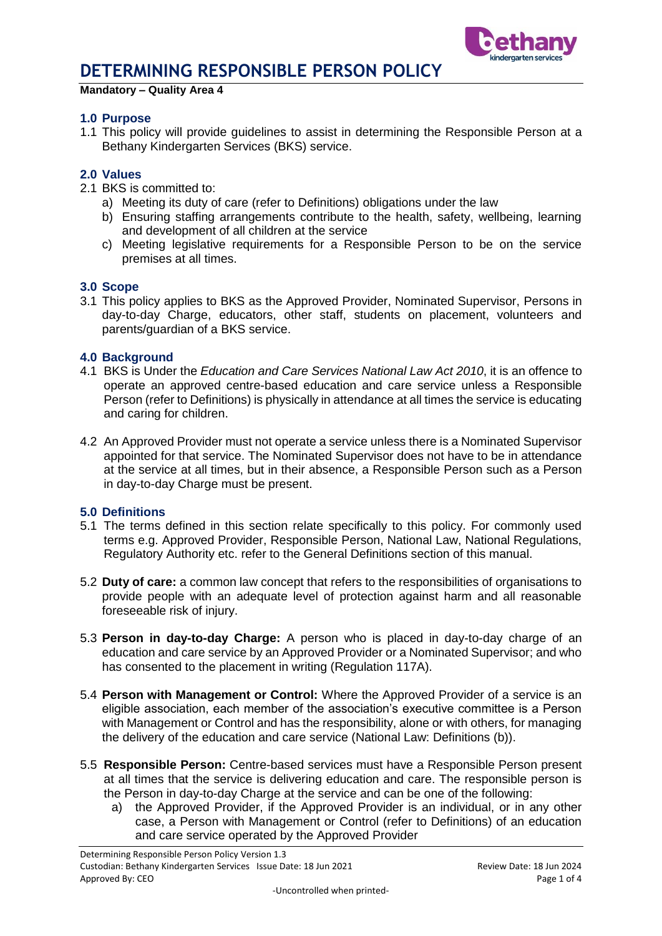

#### **Mandatory – Quality Area 4**

### **1.0 Purpose**

1.1 This policy will provide guidelines to assist in determining the Responsible Person at a Bethany Kindergarten Services (BKS) service.

### **2.0 Values**

- 2.1 BKS is committed to:
	- a) Meeting its duty of care (refer to Definitions) obligations under the law
	- b) Ensuring staffing arrangements contribute to the health, safety, wellbeing, learning and development of all children at the service
	- c) Meeting legislative requirements for a Responsible Person to be on the service premises at all times.

### **3.0 Scope**

3.1 This policy applies to BKS as the Approved Provider, Nominated Supervisor, Persons in day-to-day Charge, educators, other staff, students on placement, volunteers and parents/guardian of a BKS service.

### **4.0 Background**

- 4.1 BKS is Under the *Education and Care Services National Law Act 2010*, it is an offence to operate an approved centre-based education and care service unless a Responsible Person (refer to Definitions) is physically in attendance at all times the service is educating and caring for children.
- 4.2 An Approved Provider must not operate a service unless there is a Nominated Supervisor appointed for that service. The Nominated Supervisor does not have to be in attendance at the service at all times, but in their absence, a Responsible Person such as a Person in day-to-day Charge must be present.

#### **5.0 Definitions**

- 5.1 The terms defined in this section relate specifically to this policy. For commonly used terms e.g. Approved Provider, Responsible Person, National Law, National Regulations, Regulatory Authority etc. refer to the General Definitions section of this manual.
- 5.2 **Duty of care:** a common law concept that refers to the responsibilities of organisations to provide people with an adequate level of protection against harm and all reasonable foreseeable risk of injury.
- 5.3 **Person in day-to-day Charge:** A person who is placed in day-to-day charge of an education and care service by an Approved Provider or a Nominated Supervisor; and who has consented to the placement in writing (Regulation 117A).
- 5.4 **Person with Management or Control:** Where the Approved Provider of a service is an eligible association, each member of the association's executive committee is a Person with Management or Control and has the responsibility, alone or with others, for managing the delivery of the education and care service (National Law: Definitions (b)).
- 5.5 **Responsible Person:** Centre-based services must have a Responsible Person present at all times that the service is delivering education and care. The responsible person is the Person in day-to-day Charge at the service and can be one of the following:
	- a) the Approved Provider, if the Approved Provider is an individual, or in any other case, a Person with Management or Control (refer to Definitions) of an education and care service operated by the Approved Provider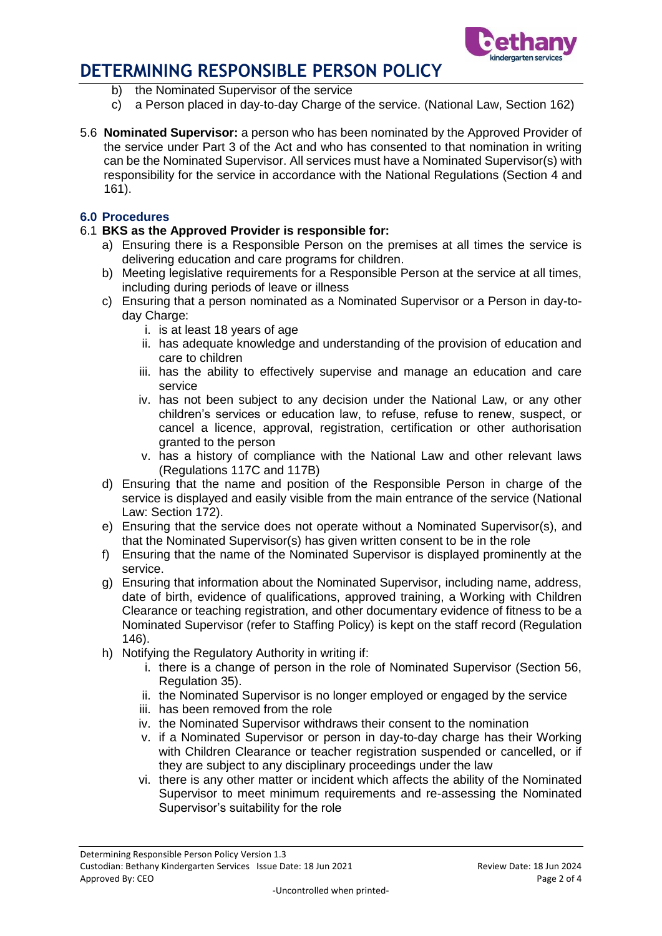

- b) the Nominated Supervisor of the service
- c) a Person placed in day-to-day Charge of the service. (National Law, Section 162)
- 5.6 **Nominated Supervisor:** a person who has been nominated by the Approved Provider of the service under Part 3 of the Act and who has consented to that nomination in writing can be the Nominated Supervisor. All services must have a Nominated Supervisor(s) with responsibility for the service in accordance with the National Regulations (Section 4 and 161).

### **6.0 Procedures**

### 6.1 **BKS as the Approved Provider is responsible for:**

- a) Ensuring there is a Responsible Person on the premises at all times the service is delivering education and care programs for children.
- b) Meeting legislative requirements for a Responsible Person at the service at all times, including during periods of leave or illness
- c) Ensuring that a person nominated as a Nominated Supervisor or a Person in day-today Charge:
	- i. is at least 18 years of age
	- ii. has adequate knowledge and understanding of the provision of education and care to children
	- iii. has the ability to effectively supervise and manage an education and care service
	- iv. has not been subject to any decision under the National Law, or any other children's services or education law, to refuse, refuse to renew, suspect, or cancel a licence, approval, registration, certification or other authorisation granted to the person
	- v. has a history of compliance with the National Law and other relevant laws (Regulations 117C and 117B)
- d) Ensuring that the name and position of the Responsible Person in charge of the service is displayed and easily visible from the main entrance of the service (National Law: Section 172).
- e) Ensuring that the service does not operate without a Nominated Supervisor(s), and that the Nominated Supervisor(s) has given written consent to be in the role
- f) Ensuring that the name of the Nominated Supervisor is displayed prominently at the service.
- g) Ensuring that information about the Nominated Supervisor, including name, address, date of birth, evidence of qualifications, approved training, a Working with Children Clearance or teaching registration, and other documentary evidence of fitness to be a Nominated Supervisor (refer to Staffing Policy) is kept on the staff record (Regulation 146).
- h) Notifying the Regulatory Authority in writing if:
	- i. there is a change of person in the role of Nominated Supervisor (Section 56, Regulation 35).
	- ii. the Nominated Supervisor is no longer employed or engaged by the service
	- iii. has been removed from the role
	- iv. the Nominated Supervisor withdraws their consent to the nomination
	- v. if a Nominated Supervisor or person in day-to-day charge has their Working with Children Clearance or teacher registration suspended or cancelled, or if they are subject to any disciplinary proceedings under the law
	- vi. there is any other matter or incident which affects the ability of the Nominated Supervisor to meet minimum requirements and re-assessing the Nominated Supervisor's suitability for the role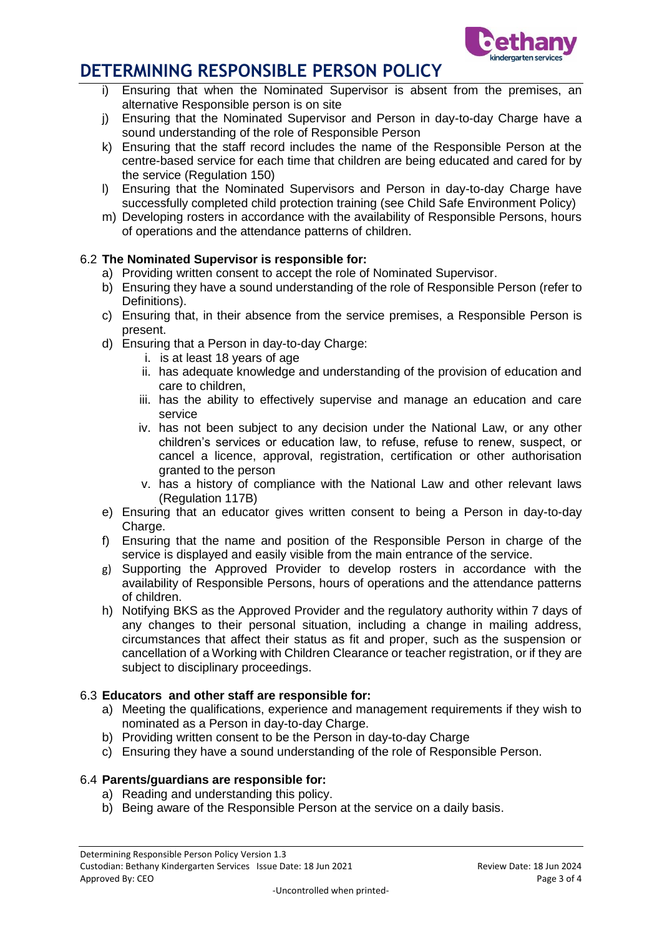

- i) Ensuring that when the Nominated Supervisor is absent from the premises, an alternative Responsible person is on site
- j) Ensuring that the Nominated Supervisor and Person in day-to-day Charge have a sound understanding of the role of Responsible Person
- k) Ensuring that the staff record includes the name of the Responsible Person at the centre-based service for each time that children are being educated and cared for by the service (Regulation 150)
- l) Ensuring that the Nominated Supervisors and Person in day-to-day Charge have successfully completed child protection training (see Child Safe Environment Policy)
- m) Developing rosters in accordance with the availability of Responsible Persons, hours of operations and the attendance patterns of children.

## 6.2 **The Nominated Supervisor is responsible for:**

- a) Providing written consent to accept the role of Nominated Supervisor.
- b) Ensuring they have a sound understanding of the role of Responsible Person (refer to Definitions).
- c) Ensuring that, in their absence from the service premises, a Responsible Person is present.
- d) Ensuring that a Person in day-to-day Charge:
	- i. is at least 18 years of age
	- ii. has adequate knowledge and understanding of the provision of education and care to children,
	- iii. has the ability to effectively supervise and manage an education and care service
	- iv. has not been subject to any decision under the National Law, or any other children's services or education law, to refuse, refuse to renew, suspect, or cancel a licence, approval, registration, certification or other authorisation granted to the person
	- v. has a history of compliance with the National Law and other relevant laws (Regulation 117B)
- e) Ensuring that an educator gives written consent to being a Person in day-to-day Charge.
- f) Ensuring that the name and position of the Responsible Person in charge of the service is displayed and easily visible from the main entrance of the service.
- g) Supporting the Approved Provider to develop rosters in accordance with the availability of Responsible Persons, hours of operations and the attendance patterns of children.
- h) Notifying BKS as the Approved Provider and the regulatory authority within 7 days of any changes to their personal situation, including a change in mailing address, circumstances that affect their status as fit and proper, such as the suspension or cancellation of a Working with Children Clearance or teacher registration, or if they are subject to disciplinary proceedings.

### 6.3 **Educators and other staff are responsible for:**

- a) Meeting the qualifications, experience and management requirements if they wish to nominated as a Person in day-to-day Charge.
- b) Providing written consent to be the Person in day-to-day Charge
- c) Ensuring they have a sound understanding of the role of Responsible Person.

### 6.4 **Parents/guardians are responsible for:**

- a) Reading and understanding this policy.
- b) Being aware of the Responsible Person at the service on a daily basis.